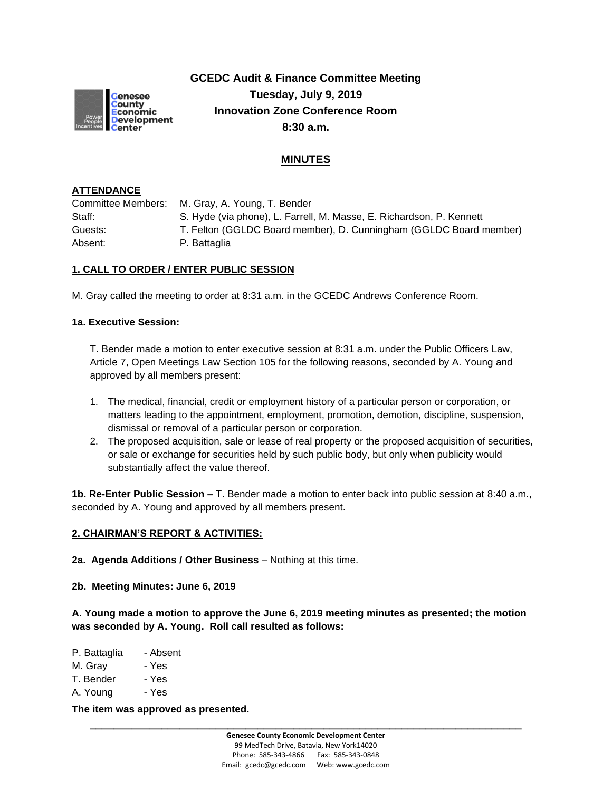

**GCEDC Audit & Finance Committee Meeting Tuesday, July 9, 2019 Innovation Zone Conference Room 8:30 a.m.**

# **MINUTES**

# **ATTENDANCE**

Committee Members: M. Gray, A. Young, T. Bender Staff: S. Hyde (via phone), L. Farrell, M. Masse, E. Richardson, P. Kennett Guests: T. Felton (GGLDC Board member), D. Cunningham (GGLDC Board member) Absent: P. Battaglia

# **1. CALL TO ORDER / ENTER PUBLIC SESSION**

M. Gray called the meeting to order at 8:31 a.m. in the GCEDC Andrews Conference Room.

### **1a. Executive Session:**

T. Bender made a motion to enter executive session at 8:31 a.m. under the Public Officers Law, Article 7, Open Meetings Law Section 105 for the following reasons, seconded by A. Young and approved by all members present:

- 1. The medical, financial, credit or employment history of a particular person or corporation, or matters leading to the appointment, employment, promotion, demotion, discipline, suspension, dismissal or removal of a particular person or corporation.
- 2. The proposed acquisition, sale or lease of real property or the proposed acquisition of securities, or sale or exchange for securities held by such public body, but only when publicity would substantially affect the value thereof.

**1b. Re-Enter Public Session –** T. Bender made a motion to enter back into public session at 8:40 a.m., seconded by A. Young and approved by all members present.

#### **2. CHAIRMAN'S REPORT & ACTIVITIES:**

**2a. Agenda Additions / Other Business** – Nothing at this time.

**2b. Meeting Minutes: June 6, 2019**

**A. Young made a motion to approve the June 6, 2019 meeting minutes as presented; the motion was seconded by A. Young. Roll call resulted as follows:**

- P. Battaglia Absent
- M. Gray Yes
- T. Bender Yes
- A. Young Yes

**The item was approved as presented.**

**\_\_\_\_\_\_\_\_\_\_\_\_\_\_\_\_\_\_\_\_\_\_\_\_\_\_\_\_\_\_\_\_\_\_\_\_\_\_\_\_\_\_\_\_\_\_\_\_\_\_\_\_\_\_\_\_\_\_\_\_\_\_\_\_\_\_\_\_\_\_\_\_**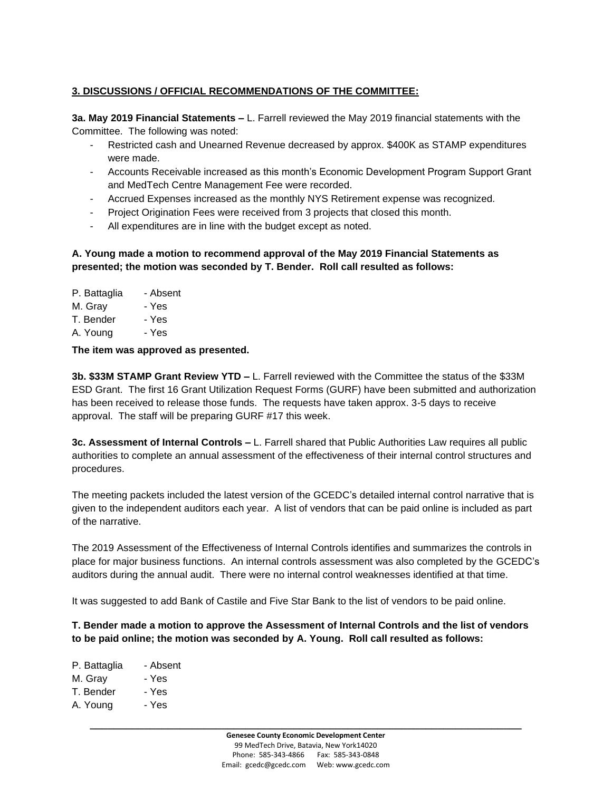# **3. DISCUSSIONS / OFFICIAL RECOMMENDATIONS OF THE COMMITTEE:**

**3a. May 2019 Financial Statements –** L. Farrell reviewed the May 2019 financial statements with the Committee. The following was noted:

- Restricted cash and Unearned Revenue decreased by approx. \$400K as STAMP expenditures were made.
- Accounts Receivable increased as this month's Economic Development Program Support Grant and MedTech Centre Management Fee were recorded.
- Accrued Expenses increased as the monthly NYS Retirement expense was recognized.
- Project Origination Fees were received from 3 projects that closed this month.
- All expenditures are in line with the budget except as noted.

# **A. Young made a motion to recommend approval of the May 2019 Financial Statements as presented; the motion was seconded by T. Bender. Roll call resulted as follows:**

- P. Battaglia Absent
- M. Gray Yes
- T. Bender Yes
- A. Young Yes

# **The item was approved as presented.**

**3b. \$33M STAMP Grant Review YTD –** L. Farrell reviewed with the Committee the status of the \$33M ESD Grant. The first 16 Grant Utilization Request Forms (GURF) have been submitted and authorization has been received to release those funds. The requests have taken approx. 3-5 days to receive approval. The staff will be preparing GURF #17 this week.

**3c. Assessment of Internal Controls –** L. Farrell shared that Public Authorities Law requires all public authorities to complete an annual assessment of the effectiveness of their internal control structures and procedures.

The meeting packets included the latest version of the GCEDC's detailed internal control narrative that is given to the independent auditors each year. A list of vendors that can be paid online is included as part of the narrative.

The 2019 Assessment of the Effectiveness of Internal Controls identifies and summarizes the controls in place for major business functions. An internal controls assessment was also completed by the GCEDC's auditors during the annual audit. There were no internal control weaknesses identified at that time.

It was suggested to add Bank of Castile and Five Star Bank to the list of vendors to be paid online.

## **T. Bender made a motion to approve the Assessment of Internal Controls and the list of vendors to be paid online; the motion was seconded by A. Young. Roll call resulted as follows:**

- P. Battaglia Absent M. Gray - Yes
- T. Bender Yes
- A. Young Yes
	- **\_\_\_\_\_\_\_\_\_\_\_\_\_\_\_\_\_\_\_\_\_\_\_\_\_\_\_\_\_\_\_\_\_\_\_\_\_\_\_\_\_\_\_\_\_\_\_\_\_\_\_\_\_\_\_\_\_\_\_\_\_\_\_\_\_\_\_\_\_\_\_\_ Genesee County Economic Development Center** 99 MedTech Drive, Batavia, New York14020 Phone: 585-343-4866 Fax: 585-343-0848 Email: gcedc@gcedc.com Web: www.gcedc.com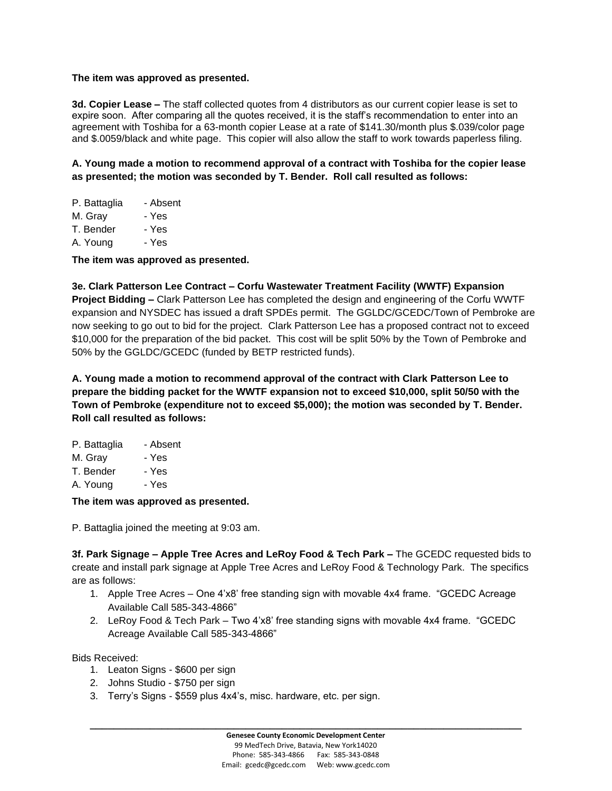#### **The item was approved as presented.**

**3d. Copier Lease –** The staff collected quotes from 4 distributors as our current copier lease is set to expire soon. After comparing all the quotes received, it is the staff's recommendation to enter into an agreement with Toshiba for a 63-month copier Lease at a rate of \$141.30/month plus \$.039/color page and \$.0059/black and white page. This copier will also allow the staff to work towards paperless filing.

**A. Young made a motion to recommend approval of a contract with Toshiba for the copier lease as presented; the motion was seconded by T. Bender. Roll call resulted as follows:**

| P. Battaglia | - Absent |
|--------------|----------|
| M. Gray      | - Yes    |
| T. Bender    | - Yes    |
| A. Young     | - Yes    |

**The item was approved as presented.**

**3e. Clark Patterson Lee Contract – Corfu Wastewater Treatment Facility (WWTF) Expansion Project Bidding –** Clark Patterson Lee has completed the design and engineering of the Corfu WWTF expansion and NYSDEC has issued a draft SPDEs permit. The GGLDC/GCEDC/Town of Pembroke are now seeking to go out to bid for the project. Clark Patterson Lee has a proposed contract not to exceed \$10,000 for the preparation of the bid packet. This cost will be split 50% by the Town of Pembroke and 50% by the GGLDC/GCEDC (funded by BETP restricted funds).

**A. Young made a motion to recommend approval of the contract with Clark Patterson Lee to prepare the bidding packet for the WWTF expansion not to exceed \$10,000, split 50/50 with the Town of Pembroke (expenditure not to exceed \$5,000); the motion was seconded by T. Bender. Roll call resulted as follows:**

| P. Battaglia | - Absent |
|--------------|----------|
| M. Gray      | - Yes    |
| T. Bender    | - Yes    |
| A. Young     | - Yes    |
|              |          |

### **The item was approved as presented.**

P. Battaglia joined the meeting at 9:03 am.

**3f. Park Signage – Apple Tree Acres and LeRoy Food & Tech Park –** The GCEDC requested bids to create and install park signage at Apple Tree Acres and LeRoy Food & Technology Park. The specifics are as follows:

- 1. Apple Tree Acres One 4'x8' free standing sign with movable 4x4 frame. "GCEDC Acreage Available Call 585-343-4866"
- 2. LeRoy Food & Tech Park Two 4'x8' free standing signs with movable 4x4 frame. "GCEDC Acreage Available Call 585-343-4866"

Bids Received:

- 1. Leaton Signs \$600 per sign
- 2. Johns Studio \$750 per sign
- 3. Terry's Signs \$559 plus 4x4's, misc. hardware, etc. per sign.

**\_\_\_\_\_\_\_\_\_\_\_\_\_\_\_\_\_\_\_\_\_\_\_\_\_\_\_\_\_\_\_\_\_\_\_\_\_\_\_\_\_\_\_\_\_\_\_\_\_\_\_\_\_\_\_\_\_\_\_\_\_\_\_\_\_\_\_\_\_\_\_\_**